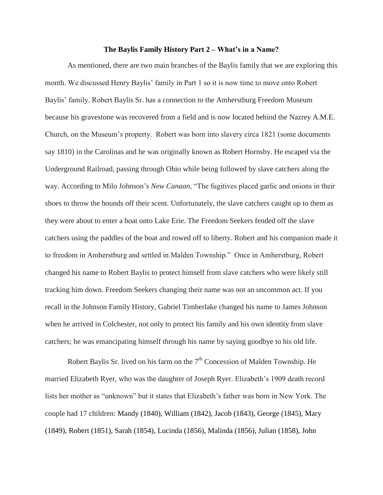## **The Baylis Family History Part 2 – What's in a Name?**

As mentioned, there are two main branches of the Baylis family that we are exploring this month. We discussed Henry Baylis' family in Part 1 so it is now time to move onto Robert Baylis' family. Robert Baylis Sr. has a connection to the Amherstburg Freedom Museum because his gravestone was recovered from a field and is now located behind the Nazrey A.M.E. Church, on the Museum's property. Robert was born into slavery circa 1821 (some documents say 1810) in the Carolinas and he was originally known as Robert Hornsby. He escaped via the Underground Railroad, passing through Ohio while being followed by slave catchers along the way. According to Milo Johnson's *New Canaan*, "The fugitives placed garlic and onions in their shoes to throw the hounds off their scent. Unfortunately, the slave catchers caught up to them as they were about to enter a boat onto Lake Erie. The Freedom Seekers fended off the slave catchers using the paddles of the boat and rowed off to liberty. Robert and his companion made it to freedom in Amherstburg and settled in Malden Township." Once in Amherstburg, Robert changed his name to Robert Baylis to protect himself from slave catchers who were likely still tracking him down. Freedom Seekers changing their name was not an uncommon act. If you recall in the Johnson Family History, Gabriel Timberlake changed his name to James Johnson when he arrived in Colchester, not only to protect his family and his own identity from slave catchers; he was emancipating himself through his name by saying goodbye to his old life.

Robert Baylis Sr. lived on his farm on the  $7<sup>th</sup>$  Concession of Malden Township. He married Elizabeth Ryer, who was the daughter of Joseph Ryer. Elizabeth's 1909 death record lists her mother as "unknown" but it states that Elizabeth's father was born in New York. The couple had 17 children: Mandy (1840), William (1842), Jacob (1843), George (1845), Mary (1849), Robert (1851), Sarah (1854), Lucinda (1856), Malinda (1856), Julian (1858), John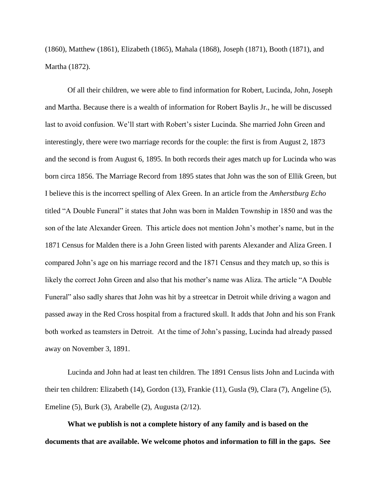(1860), Matthew (1861), Elizabeth (1865), Mahala (1868), Joseph (1871), Booth (1871), and Martha (1872).

Of all their children, we were able to find information for Robert, Lucinda, John, Joseph and Martha. Because there is a wealth of information for Robert Baylis Jr., he will be discussed last to avoid confusion. We'll start with Robert's sister Lucinda. She married John Green and interestingly, there were two marriage records for the couple: the first is from August 2, 1873 and the second is from August 6, 1895. In both records their ages match up for Lucinda who was born circa 1856. The Marriage Record from 1895 states that John was the son of Ellik Green, but I believe this is the incorrect spelling of Alex Green. In an article from the *Amherstburg Echo* titled "A Double Funeral" it states that John was born in Malden Township in 1850 and was the son of the late Alexander Green. This article does not mention John's mother's name, but in the 1871 Census for Malden there is a John Green listed with parents Alexander and Aliza Green. I compared John's age on his marriage record and the 1871 Census and they match up, so this is likely the correct John Green and also that his mother's name was Aliza. The article "A Double Funeral" also sadly shares that John was hit by a streetcar in Detroit while driving a wagon and passed away in the Red Cross hospital from a fractured skull. It adds that John and his son Frank both worked as teamsters in Detroit. At the time of John's passing, Lucinda had already passed away on November 3, 1891.

Lucinda and John had at least ten children. The 1891 Census lists John and Lucinda with their ten children: Elizabeth (14), Gordon (13), Frankie (11), Gusla (9), Clara (7), Angeline (5), Emeline (5), Burk (3), Arabelle (2), Augusta (2/12).

**What we publish is not a complete history of any family and is based on the documents that are available. We welcome photos and information to fill in the gaps. See**